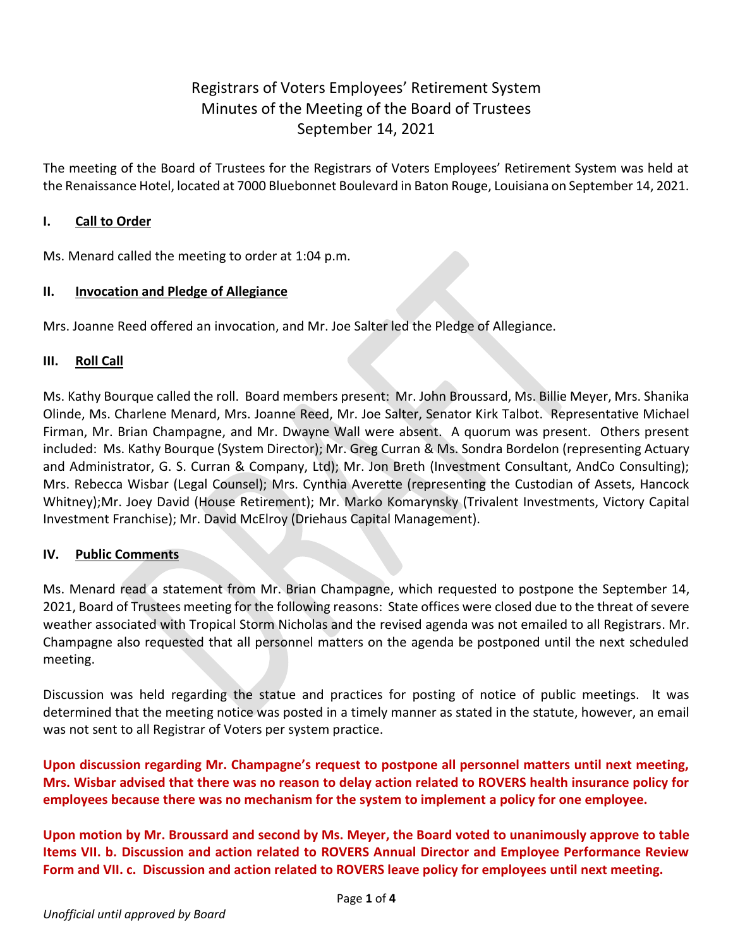# Registrars of Voters Employees' Retirement System Minutes of the Meeting of the Board of Trustees September 14, 2021

The meeting of the Board of Trustees for the Registrars of Voters Employees' Retirement System was held at the Renaissance Hotel, located at 7000 Bluebonnet Boulevard in Baton Rouge, Louisiana on September 14, 2021.

### **I. Call to Order**

Ms. Menard called the meeting to order at 1:04 p.m.

### **II. Invocation and Pledge of Allegiance**

Mrs. Joanne Reed offered an invocation, and Mr. Joe Salter led the Pledge of Allegiance.

### **III. Roll Call**

Ms. Kathy Bourque called the roll. Board members present: Mr. John Broussard, Ms. Billie Meyer, Mrs. Shanika Olinde, Ms. Charlene Menard, Mrs. Joanne Reed, Mr. Joe Salter, Senator Kirk Talbot. Representative Michael Firman, Mr. Brian Champagne, and Mr. Dwayne Wall were absent. A quorum was present. Others present included: Ms. Kathy Bourque (System Director); Mr. Greg Curran & Ms. Sondra Bordelon (representing Actuary and Administrator, G. S. Curran & Company, Ltd); Mr. Jon Breth (Investment Consultant, AndCo Consulting); Mrs. Rebecca Wisbar (Legal Counsel); Mrs. Cynthia Averette (representing the Custodian of Assets, Hancock Whitney);Mr. Joey David (House Retirement); Mr. Marko Komarynsky (Trivalent Investments, Victory Capital Investment Franchise); Mr. David McElroy (Driehaus Capital Management).

### **IV. Public Comments**

Ms. Menard read a statement from Mr. Brian Champagne, which requested to postpone the September 14, 2021, Board of Trustees meeting for the following reasons: State offices were closed due to the threat of severe weather associated with Tropical Storm Nicholas and the revised agenda was not emailed to all Registrars. Mr. Champagne also requested that all personnel matters on the agenda be postponed until the next scheduled meeting.

Discussion was held regarding the statue and practices for posting of notice of public meetings. It was determined that the meeting notice was posted in a timely manner as stated in the statute, however, an email was not sent to all Registrar of Voters per system practice.

**Upon discussion regarding Mr. Champagne's request to postpone all personnel matters until next meeting, Mrs. Wisbar advised that there was no reason to delay action related to ROVERS health insurance policy for employees because there was no mechanism for the system to implement a policy for one employee.**

**Upon motion by Mr. Broussard and second by Ms. Meyer, the Board voted to unanimously approve to table Items VII. b. Discussion and action related to ROVERS Annual Director and Employee Performance Review Form and VII. c. Discussion and action related to ROVERS leave policy for employees until next meeting.**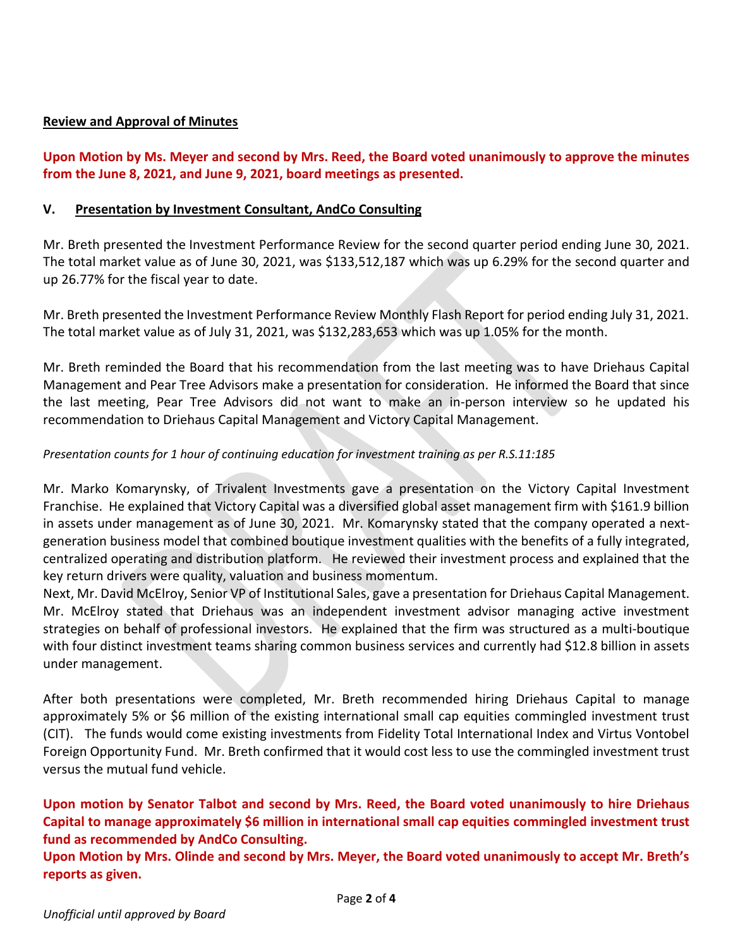### **Review and Approval of Minutes**

**Upon Motion by Ms. Meyer and second by Mrs. Reed, the Board voted unanimously to approve the minutes from the June 8, 2021, and June 9, 2021, board meetings as presented.** 

#### **V. Presentation by Investment Consultant, AndCo Consulting**

Mr. Breth presented the Investment Performance Review for the second quarter period ending June 30, 2021. The total market value as of June 30, 2021, was \$133,512,187 which was up 6.29% for the second quarter and up 26.77% for the fiscal year to date.

Mr. Breth presented the Investment Performance Review Monthly Flash Report for period ending July 31, 2021. The total market value as of July 31, 2021, was \$132,283,653 which was up 1.05% for the month.

Mr. Breth reminded the Board that his recommendation from the last meeting was to have Driehaus Capital Management and Pear Tree Advisors make a presentation for consideration. He informed the Board that since the last meeting, Pear Tree Advisors did not want to make an in-person interview so he updated his recommendation to Driehaus Capital Management and Victory Capital Management.

### *Presentation counts for 1 hour of continuing education for investment training as per R.S.11:185*

Mr. Marko Komarynsky, of Trivalent Investments gave a presentation on the Victory Capital Investment Franchise. He explained that Victory Capital was a diversified global asset management firm with \$161.9 billion in assets under management as of June 30, 2021. Mr. Komarynsky stated that the company operated a nextgeneration business model that combined boutique investment qualities with the benefits of a fully integrated, centralized operating and distribution platform. He reviewed their investment process and explained that the key return drivers were quality, valuation and business momentum.

Next, Mr. David McElroy, Senior VP of Institutional Sales, gave a presentation for Driehaus Capital Management. Mr. McElroy stated that Driehaus was an independent investment advisor managing active investment strategies on behalf of professional investors. He explained that the firm was structured as a multi-boutique with four distinct investment teams sharing common business services and currently had \$12.8 billion in assets under management.

After both presentations were completed, Mr. Breth recommended hiring Driehaus Capital to manage approximately 5% or \$6 million of the existing international small cap equities commingled investment trust (CIT). The funds would come existing investments from Fidelity Total International Index and Virtus Vontobel Foreign Opportunity Fund. Mr. Breth confirmed that it would cost less to use the commingled investment trust versus the mutual fund vehicle.

**Upon motion by Senator Talbot and second by Mrs. Reed, the Board voted unanimously to hire Driehaus Capital to manage approximately \$6 million in international small cap equities commingled investment trust fund as recommended by AndCo Consulting.** 

**Upon Motion by Mrs. Olinde and second by Mrs. Meyer, the Board voted unanimously to accept Mr. Breth's reports as given.**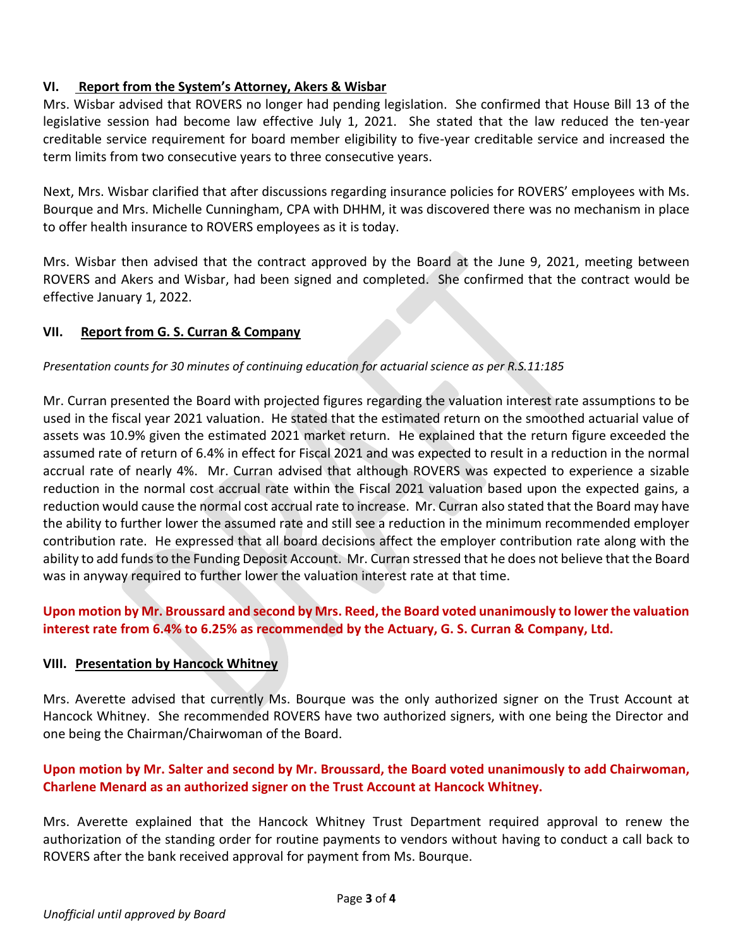### **VI. Report from the System's Attorney, Akers & Wisbar**

Mrs. Wisbar advised that ROVERS no longer had pending legislation. She confirmed that House Bill 13 of the legislative session had become law effective July 1, 2021. She stated that the law reduced the ten-year creditable service requirement for board member eligibility to five-year creditable service and increased the term limits from two consecutive years to three consecutive years.

Next, Mrs. Wisbar clarified that after discussions regarding insurance policies for ROVERS' employees with Ms. Bourque and Mrs. Michelle Cunningham, CPA with DHHM, it was discovered there was no mechanism in place to offer health insurance to ROVERS employees as it is today.

Mrs. Wisbar then advised that the contract approved by the Board at the June 9, 2021, meeting between ROVERS and Akers and Wisbar, had been signed and completed. She confirmed that the contract would be effective January 1, 2022.

# **VII. Report from G. S. Curran & Company**

### *Presentation counts for 30 minutes of continuing education for actuarial science as per R.S.11:185*

Mr. Curran presented the Board with projected figures regarding the valuation interest rate assumptions to be used in the fiscal year 2021 valuation. He stated that the estimated return on the smoothed actuarial value of assets was 10.9% given the estimated 2021 market return. He explained that the return figure exceeded the assumed rate of return of 6.4% in effect for Fiscal 2021 and was expected to result in a reduction in the normal accrual rate of nearly 4%. Mr. Curran advised that although ROVERS was expected to experience a sizable reduction in the normal cost accrual rate within the Fiscal 2021 valuation based upon the expected gains, a reduction would cause the normal cost accrual rate to increase. Mr. Curran also stated that the Board may have the ability to further lower the assumed rate and still see a reduction in the minimum recommended employer contribution rate. He expressed that all board decisions affect the employer contribution rate along with the ability to add funds to the Funding Deposit Account. Mr. Curran stressed that he does not believe that the Board was in anyway required to further lower the valuation interest rate at that time.

# **Upon motion by Mr. Broussard and second by Mrs. Reed, the Board voted unanimously to lower the valuation interest rate from 6.4% to 6.25% as recommended by the Actuary, G. S. Curran & Company, Ltd.**

### **VIII. Presentation by Hancock Whitney**

Mrs. Averette advised that currently Ms. Bourque was the only authorized signer on the Trust Account at Hancock Whitney. She recommended ROVERS have two authorized signers, with one being the Director and one being the Chairman/Chairwoman of the Board.

# **Upon motion by Mr. Salter and second by Mr. Broussard, the Board voted unanimously to add Chairwoman, Charlene Menard as an authorized signer on the Trust Account at Hancock Whitney.**

Mrs. Averette explained that the Hancock Whitney Trust Department required approval to renew the authorization of the standing order for routine payments to vendors without having to conduct a call back to ROVERS after the bank received approval for payment from Ms. Bourque.